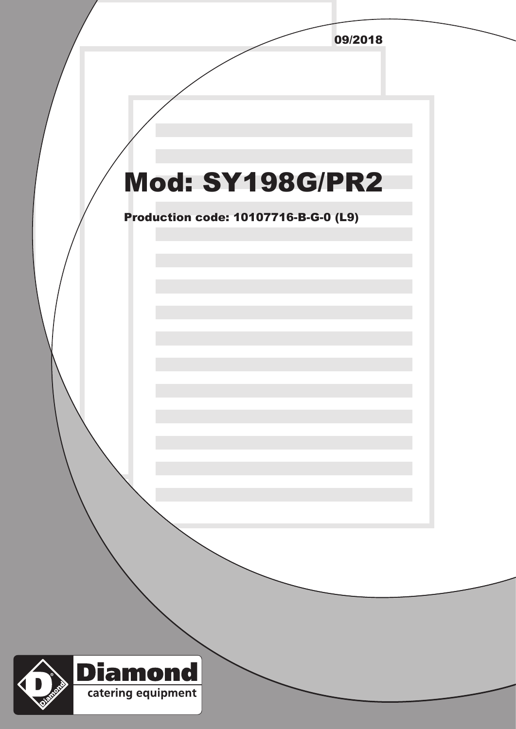|                                             | 09/2018 |  |
|---------------------------------------------|---------|--|
|                                             |         |  |
|                                             |         |  |
|                                             |         |  |
|                                             |         |  |
|                                             |         |  |
| <b>Mod: SY198G/PR2</b>                      |         |  |
|                                             |         |  |
| <b>Production code: 10107716-B-G-0 (L9)</b> |         |  |
|                                             |         |  |
|                                             |         |  |
|                                             |         |  |
|                                             |         |  |
|                                             |         |  |
|                                             |         |  |
|                                             |         |  |
|                                             |         |  |
|                                             |         |  |
|                                             |         |  |
|                                             |         |  |
|                                             |         |  |
|                                             |         |  |
|                                             |         |  |
|                                             |         |  |
|                                             |         |  |
|                                             |         |  |
|                                             |         |  |
| <b>Diamond</b>                              |         |  |
| <b>MOND</b><br>catering equipment           |         |  |
| DEN                                         |         |  |